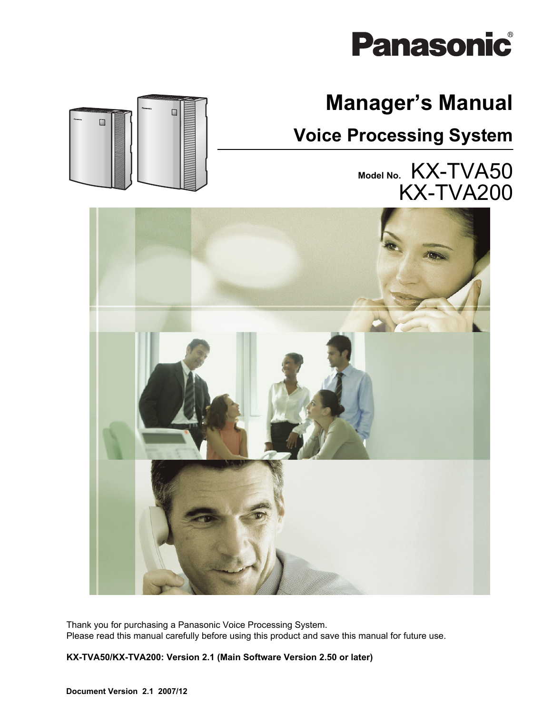

# **Manager's Manual**

**Voice Processing System**







Thank you for purchasing a Panasonic Voice Processing System. Please read this manual carefully before using this product and save this manual for future use.

**KX-TVA50/KX-TVA200: Version 2.1 (Main Software Version 2.50 or later)**

**Document Version 2.1 2007/12**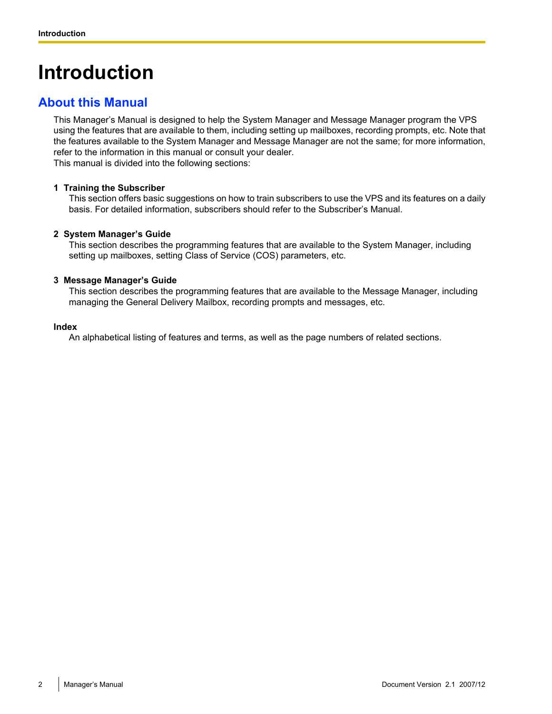# **Introduction**

### **About this Manual**

This Manager's Manual is designed to help the System Manager and Message Manager program the VPS using the features that are available to them, including setting up mailboxes, recording prompts, etc. Note that the features available to the System Manager and Message Manager are not the same; for more information, refer to the information in this manual or consult your dealer.

This manual is divided into the following sections:

#### **[1 Training the Subscriber](#page-3-0)**

This section offers basic suggestions on how to train subscribers to use the VPS and its features on a daily basis. For detailed information, subscribers should refer to the Subscriber's Manual.

#### **[2 System Manager's Guide](#page-4-0)**

This section describes the programming features that are available to the System Manager, including setting up mailboxes, setting Class of Service (COS) parameters, etc.

#### **[3 Message Manager's Guide](#page-14-0)**

This section describes the programming features that are available to the Message Manager, including managing the General Delivery Mailbox, recording prompts and messages, etc.

#### **Index**

An alphabetical listing of features and terms, as well as the page numbers of related sections.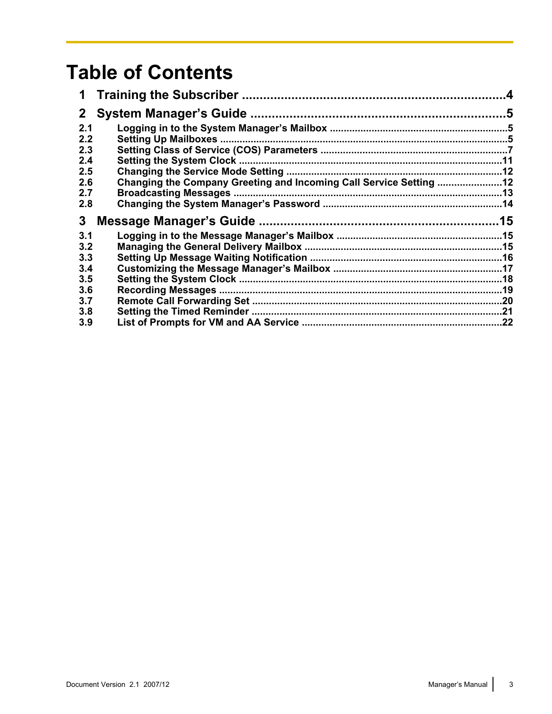# **Table of Contents**

| 2 <sup>1</sup> |                                                                    |  |
|----------------|--------------------------------------------------------------------|--|
| 2.1            |                                                                    |  |
| 2.2            |                                                                    |  |
| 2.3            |                                                                    |  |
| 2.4            |                                                                    |  |
| 2.5            |                                                                    |  |
| 2.6            | Changing the Company Greeting and Incoming Call Service Setting 12 |  |
| 2.7            |                                                                    |  |
| 2.8            |                                                                    |  |
|                |                                                                    |  |
| 3              |                                                                    |  |
| 3.1            |                                                                    |  |
| 3.2            |                                                                    |  |
| 3.3            |                                                                    |  |
| 3.4            |                                                                    |  |
| 3.5            |                                                                    |  |
| 3.6            |                                                                    |  |
|                |                                                                    |  |
| 3.7<br>3.8     |                                                                    |  |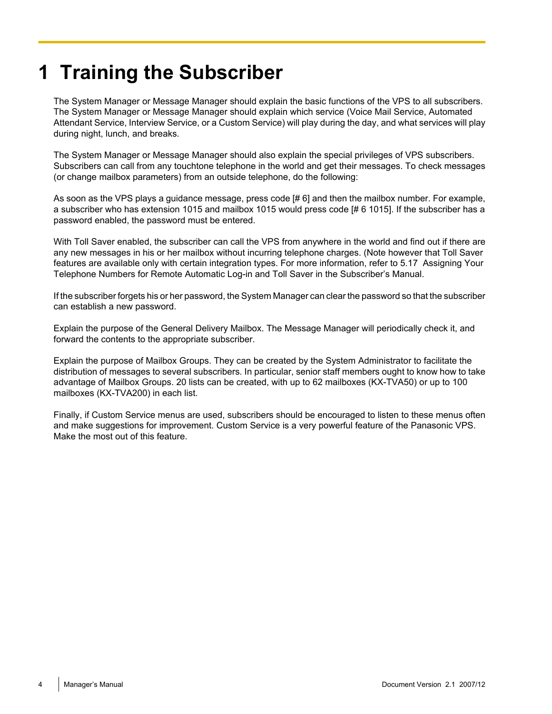# <span id="page-3-0"></span>**1 Training the Subscriber**

The System Manager or Message Manager should explain the basic functions of the VPS to all subscribers. The System Manager or Message Manager should explain which service (Voice Mail Service, Automated Attendant Service, Interview Service, or a Custom Service) will play during the day, and what services will play during night, lunch, and breaks.

The System Manager or Message Manager should also explain the special privileges of VPS subscribers. Subscribers can call from any touchtone telephone in the world and get their messages. To check messages (or change mailbox parameters) from an outside telephone, do the following:

As soon as the VPS plays a guidance message, press code [# 6] and then the mailbox number. For example, a subscriber who has extension 1015 and mailbox 1015 would press code [# 6 1015]. If the subscriber has a password enabled, the password must be entered.

With Toll Saver enabled, the subscriber can call the VPS from anywhere in the world and find out if there are any new messages in his or her mailbox without incurring telephone charges. (Note however that Toll Saver features are available only with certain integration types. For more information, refer to 5.17 Assigning Your Telephone Numbers for Remote Automatic Log-in and Toll Saver in the Subscriber's Manual.

If the subscriber forgets his or her password, the System Manager can clear the password so that the subscriber can establish a new password.

Explain the purpose of the General Delivery Mailbox. The Message Manager will periodically check it, and forward the contents to the appropriate subscriber.

Explain the purpose of Mailbox Groups. They can be created by the System Administrator to facilitate the distribution of messages to several subscribers. In particular, senior staff members ought to know how to take advantage of Mailbox Groups. 20 lists can be created, with up to 62 mailboxes (KX-TVA50) or up to 100 mailboxes (KX-TVA200) in each list.

Finally, if Custom Service menus are used, subscribers should be encouraged to listen to these menus often and make suggestions for improvement. Custom Service is a very powerful feature of the Panasonic VPS. Make the most out of this feature.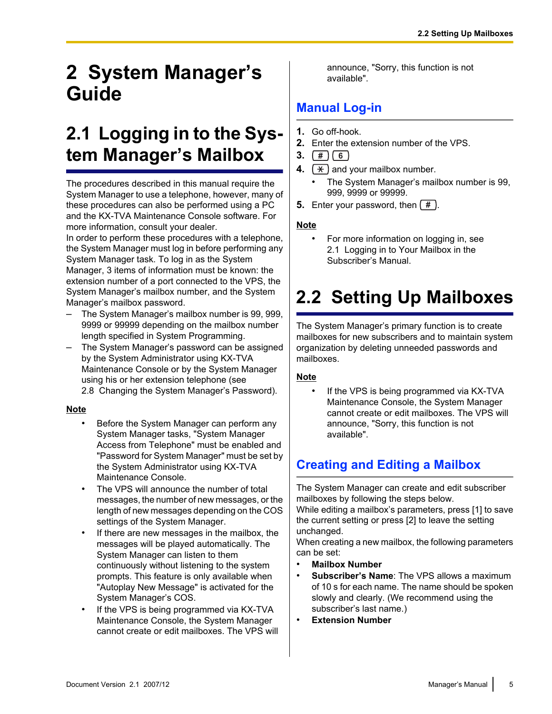# <span id="page-4-0"></span>**2 System Manager's Guide**

# **2.1 Logging in to the System Manager's Mailbox**

The procedures described in this manual require the System Manager to use a telephone, however, many of these procedures can also be performed using a PC and the KX-TVA Maintenance Console software. For more information, consult your dealer.

In order to perform these procedures with a telephone, the System Manager must log in before performing any System Manager task. To log in as the System Manager, 3 items of information must be known: the extension number of a port connected to the VPS, the System Manager's mailbox number, and the System Manager's mailbox password.

- The System Manager's mailbox number is 99, 999, 9999 or 99999 depending on the mailbox number length specified in System Programming.
- The System Manager's password can be assigned by the System Administrator using KX-TVA Maintenance Console or by the System Manager using his or her extension telephone (see [2.8 Changing the System Manager's Password\)](#page-13-0).

#### **Note**

- Before the System Manager can perform any System Manager tasks, "System Manager Access from Telephone" must be enabled and "Password for System Manager" must be set by the System Administrator using KX-TVA Maintenance Console.
- The VPS will announce the number of total messages, the number of new messages, or the length of new messages depending on the COS settings of the System Manager.
- If there are new messages in the mailbox, the messages will be played automatically. The System Manager can listen to them continuously without listening to the system prompts. This feature is only available when "Autoplay New Message" is activated for the System Manager's COS.
- If the VPS is being programmed via KX-TVA Maintenance Console, the System Manager cannot create or edit mailboxes. The VPS will

announce, "Sorry, this function is not available".

# **Manual Log-in**

- **1.** Go off-hook.
- **2.** Enter the extension number of the VPS.
- **3.**  $(\#)(6)$
- **4.**  $(\star)$  and your mailbox number.
	- The System Manager's mailbox number is 99, 999, 9999 or 99999.
- **5.** Enter your password, then  $(\#)$ .

#### **Note**

• For more information on logging in, see 2.1 Logging in to Your Mailbox in the Subscriber's Manual.

# **2.2 Setting Up Mailboxes**

The System Manager's primary function is to create mailboxes for new subscribers and to maintain system organization by deleting unneeded passwords and mailboxes.

#### **Note**

If the VPS is being programmed via KX-TVA Maintenance Console, the System Manager cannot create or edit mailboxes. The VPS will announce, "Sorry, this function is not available".

## **Creating and Editing a Mailbox**

The System Manager can create and edit subscriber mailboxes by following the steps below. While editing a mailbox's parameters, press [1] to save the current setting or press [2] to leave the setting unchanged.

When creating a new mailbox, the following parameters can be set:

- **Mailbox Number**
- **Subscriber's Name**: The VPS allows a maximum of 10 s for each name. The name should be spoken slowly and clearly. (We recommend using the subscriber's last name.)
- **Extension Number**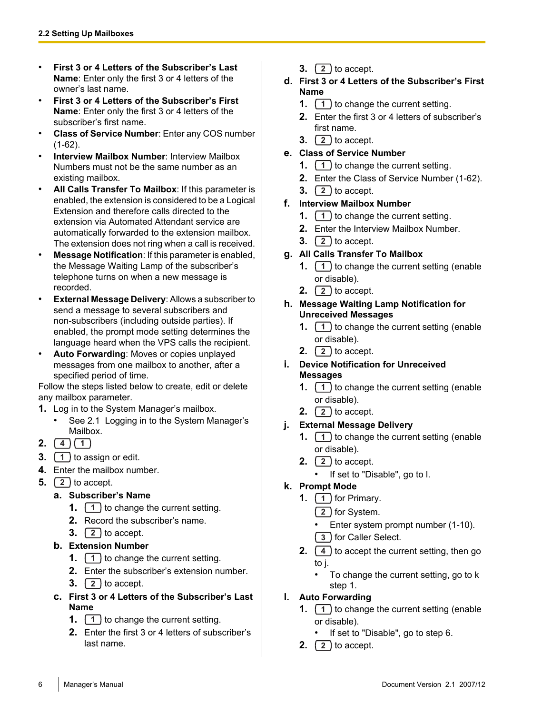- **First 3 or 4 Letters of the Subscriber's Last Name**: Enter only the first 3 or 4 letters of the owner's last name.
- **First 3 or 4 Letters of the Subscriber's First Name**: Enter only the first 3 or 4 letters of the subscriber's first name.
- **Class of Service Number**: Enter any COS number (1-62).
- **Interview Mailbox Number**: Interview Mailbox Numbers must not be the same number as an existing mailbox.
- **All Calls Transfer To Mailbox**: If this parameter is enabled, the extension is considered to be a Logical Extension and therefore calls directed to the extension via Automated Attendant service are automatically forwarded to the extension mailbox. The extension does not ring when a call is received.
- **Message Notification**: If this parameter is enabled, the Message Waiting Lamp of the subscriber's telephone turns on when a new message is recorded.
- **External Message Delivery: Allows a subscriber to** send a message to several subscribers and non-subscribers (including outside parties). If enabled, the prompt mode setting determines the language heard when the VPS calls the recipient.
- **Auto Forwarding**: Moves or copies unplayed messages from one mailbox to another, after a specified period of time.

Follow the steps listed below to create, edit or delete any mailbox parameter.

- **1.** Log in to the System Manager's mailbox.
	- See [2.1 Logging in to the System Manager's](#page-4-0) [Mailbox.](#page-4-0)
- **2.**  $(4)(1)$
- **3.**  $\boxed{1}$  to assign or edit.
- **4.** Enter the mailbox number.
- **5.**  $\boxed{2}$  to accept.

#### **a. Subscriber's Name**

- **1.**  $\boxed{1}$  to change the current setting.
- **2.** Record the subscriber's name.
- **3.**  $\boxed{2}$  to accept.

#### **b. Extension Number**

- **1.**  $\boxed{1}$  to change the current setting.
- **2.** Enter the subscriber's extension number.
- **3.**  $\boxed{2}$  to accept.
- **c. First 3 or 4 Letters of the Subscriber's Last Name**
	- **1. 1** to change the current setting.
	- **2.** Enter the first 3 or 4 letters of subscriber's last name.
- **3.**  $\boxed{2}$  to accept.
- **d. First 3 or 4 Letters of the Subscriber's First Name**
	- **1. 1** to change the current setting.
	- **2.** Enter the first 3 or 4 letters of subscriber's first name.
	- **3.**  $\boxed{2}$  to accept.
- **e. Class of Service Number**
	- **1. 1** to change the current setting.
	- **2.** Enter the Class of Service Number (1-62).
	- **3.**  $\boxed{2}$  to accept.
- **f. Interview Mailbox Number**
	- **1. 1** to change the current setting.
	- **2.** Enter the Interview Mailbox Number.
	- **3.**  $\boxed{2}$  to accept.
- **g. All Calls Transfer To Mailbox**
	- **1.** *1* to change the current setting (enable or disable).
	- **2.**  $\boxed{2}$  to accept.
- **h. Message Waiting Lamp Notification for Unreceived Messages**
	- **1. 1** to change the current setting (enable or disable).
	- **2.**  $\boxed{2}$  to accept.
- **i. Device Notification for Unreceived Messages**
	- **1.** *1* to change the current setting (enable or disable).
	- **2.**  $\boxed{2}$  to accept.
- **j. External Message Delivery**
	- **1.**  $\boxed{1}$  to change the current setting (enable or disable).
	- **2.**  $\boxed{2}$  to accept.
		- If set to "Disable", go to l.

#### **k. Prompt Mode**

- **1.** *1* for Primary.
	- *2* for System.
	- Enter system prompt number (1-10).
	- *3* for Caller Select.
- **2.**  $\left(4\right)$  to accept the current setting, then go to j.
	- To change the current setting, go to k step 1.
- **l. Auto Forwarding**
	- **1. 1** to change the current setting (enable or disable).
		- If set to "Disable", go to step 6.
	- **2.**  $\boxed{2}$  to accept.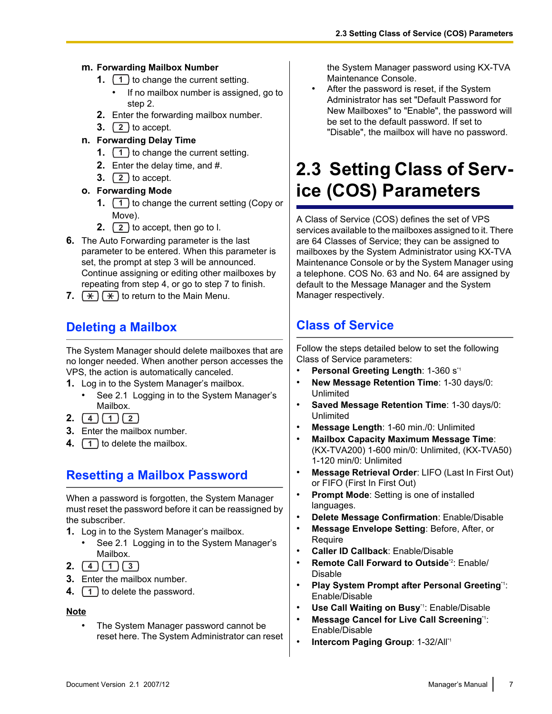#### <span id="page-6-0"></span>**m. Forwarding Mailbox Number**

- **1.** *1* to change the current setting.
	- If no mailbox number is assigned, go to step 2.
- **2.** Enter the forwarding mailbox number.
- **3.**  $\boxed{2}$  to accept.
- **n. Forwarding Delay Time**
	- **1.** *1* to change the current setting.
	- **2.** Enter the delay time, and #.
	- **3.**  $\boxed{2}$  to accept.
- **o. Forwarding Mode**
	- **1.** *1* to change the current setting (Copy or Move).
	- **2.**  $\boxed{2}$  to accept, then go to l.
- **6.** The Auto Forwarding parameter is the last parameter to be entered. When this parameter is set, the prompt at step 3 will be announced. Continue assigning or editing other mailboxes by repeating from step 4, or go to step 7 to finish.
- **7.**  $(\mathcal{H}) (\mathcal{H})$  to return to the Main Menu.

## **Deleting a Mailbox**

The System Manager should delete mailboxes that are no longer needed. When another person accesses the VPS, the action is automatically canceled.

- **1.** Log in to the System Manager's mailbox.
	- See [2.1 Logging in to the System Manager's](#page-4-0) [Mailbox.](#page-4-0)
- **2.**  $\boxed{4}$   $\boxed{1}$   $\boxed{2}$
- **3.** Enter the mailbox number.
- **4.**  $\boxed{1}$  to delete the mailbox.

## **Resetting a Mailbox Password**

When a password is forgotten, the System Manager must reset the password before it can be reassigned by the subscriber.

- **1.** Log in to the System Manager's mailbox.
	- See [2.1 Logging in to the System Manager's](#page-4-0) [Mailbox.](#page-4-0)
- **2.**  $\boxed{4}$   $\boxed{1}$   $\boxed{3}$
- **3.** Enter the mailbox number.
- **4.**  $\boxed{1}$  to delete the password.

#### **Note**

• The System Manager password cannot be reset here. The System Administrator can reset the System Manager password using KX-TVA Maintenance Console.

After the password is reset, if the System Administrator has set "Default Password for New Mailboxes" to "Enable", the password will be set to the default password. If set to "Disable", the mailbox will have no password.

# **2.3 Setting Class of Service (COS) Parameters**

A Class of Service (COS) defines the set of VPS services available to the mailboxes assigned to it. There are 64 Classes of Service; they can be assigned to mailboxes by the System Administrator using KX-TVA Maintenance Console or by the System Manager using a telephone. COS No. 63 and No. 64 are assigned by default to the Message Manager and the System Manager respectively.

## **Class of Service**

Follow the steps detailed below to set the following Class of Service parameters:

- **Personal Greeting Length**: 1-360 s[\\*1](#page-7-0)
- **New Message Retention Time**: 1-30 days/0: Unlimited
- **Saved Message Retention Time**: 1-30 days/0: Unlimited
- **Message Length**: 1-60 min./0: Unlimited
- **Mailbox Capacity Maximum Message Time**: (KX-TVA200) 1-600 min/0: Unlimited, (KX-TVA50) 1-120 min/0: Unlimited
- **Message Retrieval Order**: LIFO (Last In First Out) or FIFO (First In First Out)
- **Prompt Mode:** Setting is one of installed languages.
- **Delete Message Confirmation**: Enable/Disable
- **Message Envelope Setting**: Before, After, or **Require**
- **Caller ID Callback**: Enable/Disable
- **Remote Call Forward to Outside**<sup>2</sup>: Enable/ Disable
- **Play System Prompt after Personal Greeting**[\\*1](#page-7-0): Enable/Disable
- **Use Call Waiting on Busy**[\\*1](#page-7-0): Enable/Disable
- **Message Cancel for Live Call Screening**[\\*1](#page-7-0): Enable/Disable
- **Intercom Paging Group**: 1-32/All[\\*1](#page-7-0)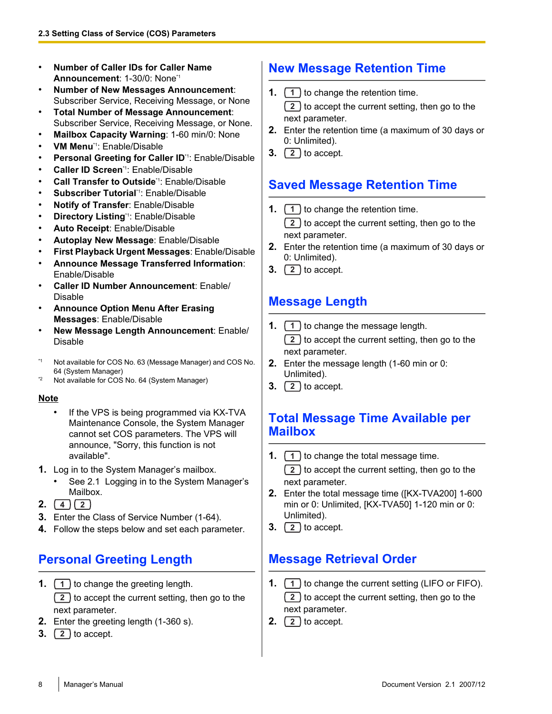- <span id="page-7-0"></span>• **Number of Caller IDs for Caller Name Announcement**: 1-30/0: None\*1
- **Number of New Messages Announcement**: Subscriber Service, Receiving Message, or None
- **Total Number of Message Announcement**: Subscriber Service, Receiving Message, or None.
- **Mailbox Capacity Warning**: 1-60 min/0: None
- **VM Menu**\*1: Enable/Disable
- **Personal Greeting for Caller ID**\*1: Enable/Disable
- **Caller ID Screen**\*1: Enable/Disable
- **Call Transfer to Outside**\*1: Enable/Disable
- **Subscriber Tutorial**\*1: Enable/Disable
- **Notify of Transfer**: Enable/Disable
- **Directory Listing**\*1: Enable/Disable
- **Auto Receipt**: Enable/Disable
- **Autoplay New Message**: Enable/Disable
- **First Playback Urgent Messages**: Enable/Disable
- **Announce Message Transferred Information**: Enable/Disable
- **Caller ID Number Announcement**: Enable/ Disable
- **Announce Option Menu After Erasing Messages**: Enable/Disable
- **New Message Length Announcement**: Enable/ Disable
- \*1 Not available for COS No. 63 (Message Manager) and COS No. 64 (System Manager)
- \*2 Not available for COS No. 64 (System Manager)

#### **Note**

- If the VPS is being programmed via KX-TVA Maintenance Console, the System Manager cannot set COS parameters. The VPS will announce, "Sorry, this function is not available".
- **1.** Log in to the System Manager's mailbox.
	- See [2.1 Logging in to the System Manager's](#page-4-0) [Mailbox.](#page-4-0)
- **2.**  $(4)(2)$
- **3.** Enter the Class of Service Number (1-64).
- **4.** Follow the steps below and set each parameter.

## **Personal Greeting Length**

- **1.** *1* to change the greeting length. **2** to accept the current setting, then go to the next parameter.
- **2.** Enter the greeting length (1-360 s).
- **3.**  $\boxed{2}$  to accept.

## **New Message Retention Time**

- **1. 1** to change the retention time. **2** to accept the current setting, then go to the next parameter.
- **2.** Enter the retention time (a maximum of 30 days or 0: Unlimited).
- **3.**  $\boxed{2}$  to accept.

## **Saved Message Retention Time**

**1. 1** to change the retention time.

**2** to accept the current setting, then go to the next parameter.

- **2.** Enter the retention time (a maximum of 30 days or 0: Unlimited).
- **3.**  $\boxed{2}$  to accept.

## **Message Length**

- **1. 1** to change the message length.
	- **2** to accept the current setting, then go to the next parameter.
- **2.** Enter the message length (1-60 min or 0: Unlimited).
- **3.**  $\boxed{2}$  to accept.

### **Total Message Time Available per Mailbox**

**1.**  $\boxed{1}$  to change the total message time.

**2** to accept the current setting, then go to the next parameter.

- **2.** Enter the total message time ([KX-TVA200] 1-600 min or 0: Unlimited, [KX-TVA50] 1-120 min or 0: Unlimited).
- **3.**  $\boxed{2}$  to accept.

## **Message Retrieval Order**

**1.**  $(1)$  to change the current setting (LIFO or FIFO).

**2** to accept the current setting, then go to the next parameter.

**2.**  $\boxed{2}$  to accept.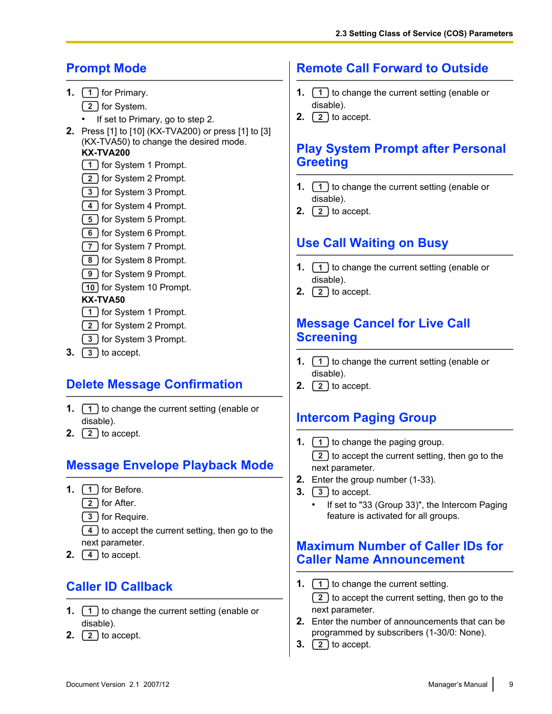### **Prompt Mode**

- **1.**  $\boxed{1}$  for Primary.
	- *2* for System.
	- If set to Primary, go to step 2.
- **2.** Press [1] to [10] (KX-TVA200) or press [1] to [3] (KX-TVA50) to change the desired mode. **KX-TVA200**
	- *1* for System 1 Prompt.
	- *2* for System 2 Prompt.
	- *3* for System 3 Prompt.
	- *4* for System 4 Prompt.
	- *5* for System 5 Prompt.
	- *6* for System 6 Prompt.
	- *7* for System 7 Prompt.
	- *8* for System 8 Prompt.
	- *9* for System 9 Prompt.
	- **10** for System 10 Prompt.

#### **KX-TVA50**

- *1* for System 1 Prompt.
- *2* for System 2 Prompt.
- *3* for System 3 Prompt.
- **3.**  $\boxed{3}$  to accept.

## **Delete Message Confirmation**

- **1.**  $\boxed{1}$  to change the current setting (enable or disable).
- **2.**  $\boxed{2}$  to accept.

## **Message Envelope Playback Mode**

- **1.** *1* for Before.
	- *2* for After.
	- *3* for Require.

**4** to accept the current setting, then go to the next parameter.

**2.**  $\boxed{4}$  to accept.

## **Caller ID Callback**

- **1.** *1* to change the current setting (enable or disable).
- **2.**  $\boxed{2}$  to accept.

## **Remote Call Forward to Outside**

- **1.**  $\left( 1 \right)$  to change the current setting (enable or disable).
- **2.**  $\boxed{2}$  to accept.

### **Play System Prompt after Personal Greeting**

- **1. 1** to change the current setting (enable or disable).
- **2.**  $\boxed{2}$  to accept.

## **Use Call Waiting on Busy**

- **1.**  $\boxed{1}$  to change the current setting (enable or disable).
- **2.**  $\boxed{2}$  to accept.

### **Message Cancel for Live Call Screening**

- **1.**  $\boxed{1}$  to change the current setting (enable or disable).
- **2.**  $\boxed{2}$  to accept.

## **Intercom Paging Group**

- **1. 1** to change the paging group. **2** to accept the current setting, then go to the next parameter.
- **2.** Enter the group number (1-33).
- **3.**  $\boxed{3}$  to accept.
	- If set to "33 (Group 33)", the Intercom Paging feature is activated for all groups.

### **Maximum Number of Caller IDs for Caller Name Announcement**

- **1. 1** to change the current setting. 2) to accept the current setting, then go to the next parameter.
- **2.** Enter the number of announcements that can be programmed by subscribers (1-30/0: None).
- **3.**  $\boxed{2}$  to accept.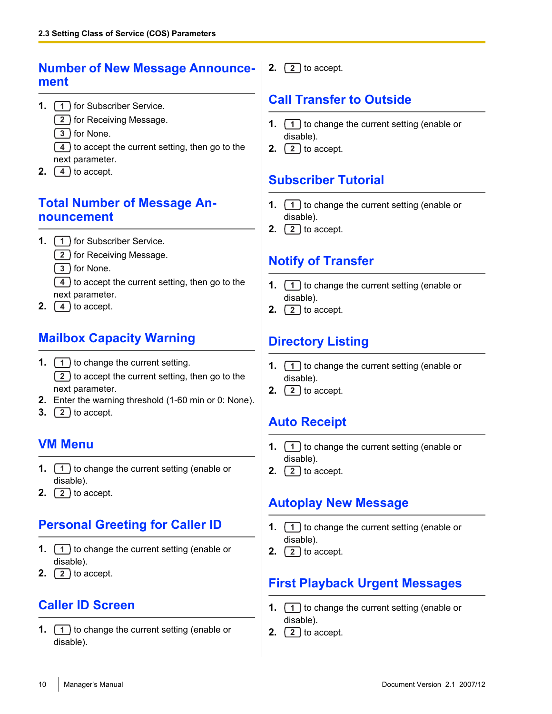### **Number of New Message Announcement**

- **1.** *1* for Subscriber Service.
	- *2* for Receiving Message.
	- *3* for None.

 $\sqrt{4}$  to accept the current setting, then go to the next parameter.

**2.**  $\left( 4 \right)$  to accept.

### **Total Number of Message Announcement**

- **1.** *1* for Subscriber Service.
	- *2* for Receiving Message.
	- *3* for None.
	- **4** to accept the current setting, then go to the next parameter.
- **2.**  $\boxed{4}$  to accept.

## **Mailbox Capacity Warning**

- **1. 1** to change the current setting. **2** to accept the current setting, then go to the next parameter.
- **2.** Enter the warning threshold (1-60 min or 0: None).
- **3.**  $\boxed{2}$  to accept.

### **VM Menu**

- **1.**  $\boxed{1}$  to change the current setting (enable or disable).
- **2.**  $\boxed{2}$  to accept.

## **Personal Greeting for Caller ID**

- **1.**  $\boxed{1}$  to change the current setting (enable or disable).
- **2.** (2) to accept.

## **Caller ID Screen**

**1.**  $\boxed{1}$  to change the current setting (enable or disable).

**2.**  $\boxed{2}$  to accept.

## **Call Transfer to Outside**

- **1.**  $\boxed{1}$  to change the current setting (enable or disable).
- **2. 2** to accept.

## **Subscriber Tutorial**

- **1.**  $\boxed{1}$  to change the current setting (enable or disable).
- **2.**  $\boxed{2}$  to accept.

## **Notify of Transfer**

- **1. 1** to change the current setting (enable or disable).
- **2.**  $\boxed{2}$  to accept.

## **Directory Listing**

- **1. 1** to change the current setting (enable or disable).
- **2.**  $\boxed{2}$  to accept.

### **Auto Receipt**

- **1.**  $\boxed{1}$  to change the current setting (enable or disable).
- **2.**  $\boxed{2}$  to accept.

### **Autoplay New Message**

- **1.** *1* to change the current setting (enable or disable).
- **2.**  $\boxed{2}$  to accept.

## **First Playback Urgent Messages**

- **1. 1** to change the current setting (enable or disable).
- **2.**  $\boxed{2}$  to accept.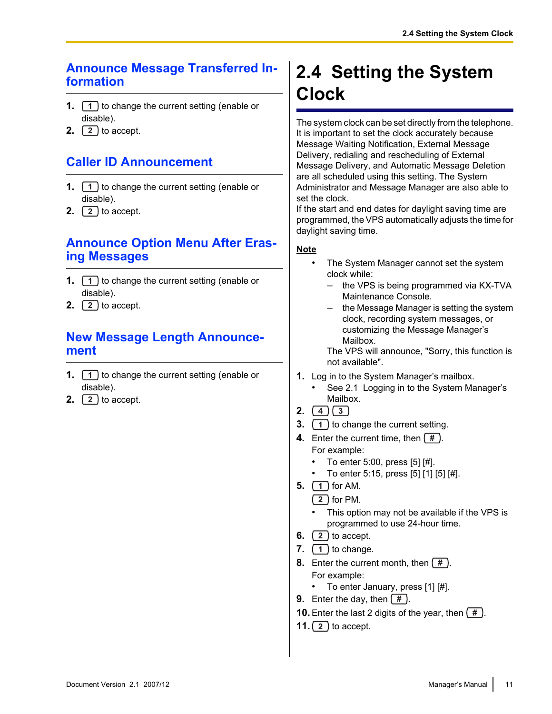### <span id="page-10-0"></span>**Announce Message Transferred Information**

- **1.**  $\boxed{1}$  to change the current setting (enable or disable).
- **2.**  $\boxed{2}$  to accept.

## **Caller ID Announcement**

- **1. 1** to change the current setting (enable or disable).
- **2.**  $\boxed{2}$  to accept.

## **Announce Option Menu After Erasing Messages**

- **1.**  $\boxed{1}$  to change the current setting (enable or disable).
- **2.**  $\boxed{2}$  to accept.

### **New Message Length Announcement**

- **1.**  $\boxed{1}$  to change the current setting (enable or disable).
- **2.**  $\boxed{2}$  to accept.

# **2.4 Setting the System Clock**

The system clock can be set directly from the telephone. It is important to set the clock accurately because Message Waiting Notification, External Message Delivery, redialing and rescheduling of External Message Delivery, and Automatic Message Deletion are all scheduled using this setting. The System Administrator and Message Manager are also able to set the clock.

If the start and end dates for daylight saving time are programmed, the VPS automatically adjusts the time for daylight saving time.

#### **Note**

- The System Manager cannot set the system clock while:
	- the VPS is being programmed via KX-TVA Maintenance Console.
	- the Message Manager is setting the system clock, recording system messages, or customizing the Message Manager's Mailbox.

The VPS will announce, "Sorry, this function is not available".

- **1.** Log in to the System Manager's mailbox.
	- See [2.1 Logging in to the System Manager's](#page-4-0) [Mailbox](#page-4-0).
- **2.**  $\boxed{4}$  $\boxed{3}$
- **3. 1** to change the current setting.
- **4.** Enter the current time, then  $(\#)$ . For example:
	- To enter 5:00, press [5] [#].
	- To enter 5:15, press [5] [1] [5] [#].
- **5.** *1* for AM. *2* for PM.
	- This option may not be available if the VPS is programmed to use 24-hour time.
- **6.**  $\boxed{2}$  to accept.
- **7.**  $\boxed{1}$  to change.
- **8.** Enter the current month, then  $(\#)$ . For example:
	- To enter January, press [1] [#].
- **9.** Enter the day, then  $\left(\frac{H}{H}\right)$ .
- **10.** Enter the last 2 digits of the year, then  $\left(\frac{4}{3}\right)$ .
- **11.**  $\boxed{2}$  to accept.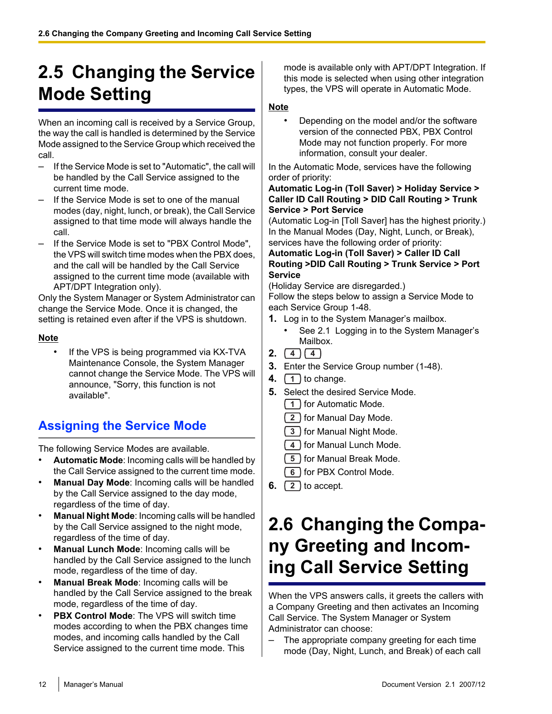# <span id="page-11-0"></span>**2.5 Changing the Service Mode Setting**

When an incoming call is received by a Service Group, the way the call is handled is determined by the Service Mode assigned to the Service Group which received the call.

- If the Service Mode is set to "Automatic", the call will be handled by the Call Service assigned to the current time mode.
- If the Service Mode is set to one of the manual modes (day, night, lunch, or break), the Call Service assigned to that time mode will always handle the call.
- If the Service Mode is set to "PBX Control Mode", the VPS will switch time modes when the PBX does, and the call will be handled by the Call Service assigned to the current time mode (available with APT/DPT Integration only).

Only the System Manager or System Administrator can change the Service Mode. Once it is changed, the setting is retained even after if the VPS is shutdown.

#### **Note**

If the VPS is being programmed via KX-TVA Maintenance Console, the System Manager cannot change the Service Mode. The VPS will announce, "Sorry, this function is not available".

## **Assigning the Service Mode**

The following Service Modes are available.

- **Automatic Mode**: Incoming calls will be handled by the Call Service assigned to the current time mode.
- **Manual Day Mode:** Incoming calls will be handled by the Call Service assigned to the day mode, regardless of the time of day.
- **Manual Night Mode**: Incoming calls will be handled by the Call Service assigned to the night mode, regardless of the time of day.
- **Manual Lunch Mode**: Incoming calls will be handled by the Call Service assigned to the lunch mode, regardless of the time of day.
- **Manual Break Mode**: Incoming calls will be handled by the Call Service assigned to the break mode, regardless of the time of day.
- **PBX Control Mode:** The VPS will switch time modes according to when the PBX changes time modes, and incoming calls handled by the Call Service assigned to the current time mode. This

mode is available only with APT/DPT Integration. If this mode is selected when using other integration types, the VPS will operate in Automatic Mode.

#### **Note**

• Depending on the model and/or the software version of the connected PBX, PBX Control Mode may not function properly. For more information, consult your dealer.

In the Automatic Mode, services have the following order of priority:

#### **Automatic Log-in (Toll Saver) > Holiday Service > Caller ID Call Routing > DID Call Routing > Trunk Service > Port Service**

(Automatic Log-in [Toll Saver] has the highest priority.) In the Manual Modes (Day, Night, Lunch, or Break), services have the following order of priority:

#### **Automatic Log-in (Toll Saver) > Caller ID Call Routing >DID Call Routing > Trunk Service > Port Service**

(Holiday Service are disregarded.)

Follow the steps below to assign a Service Mode to each Service Group 1-48.

- **1.** Log in to the System Manager's mailbox.
	- See [2.1 Logging in to the System Manager's](#page-4-0) [Mailbox](#page-4-0).
- **2.**  $\boxed{4}$  $\boxed{4}$
- **3.** Enter the Service Group number (1-48).
- **4.**  $\boxed{1}$  to change.
- **5.** Select the desired Service Mode.
	- *1* for Automatic Mode.
	- *2* for Manual Day Mode.
	- *3* for Manual Night Mode.
	- *4* for Manual Lunch Mode.
	- *5* for Manual Break Mode.
	- **6** for PBX Control Mode.
- **6.**  $\boxed{2}$  to accept.

# **2.6 Changing the Company Greeting and Incoming Call Service Setting**

When the VPS answers calls, it greets the callers with a Company Greeting and then activates an Incoming Call Service. The System Manager or System Administrator can choose:

The appropriate company greeting for each time mode (Day, Night, Lunch, and Break) of each call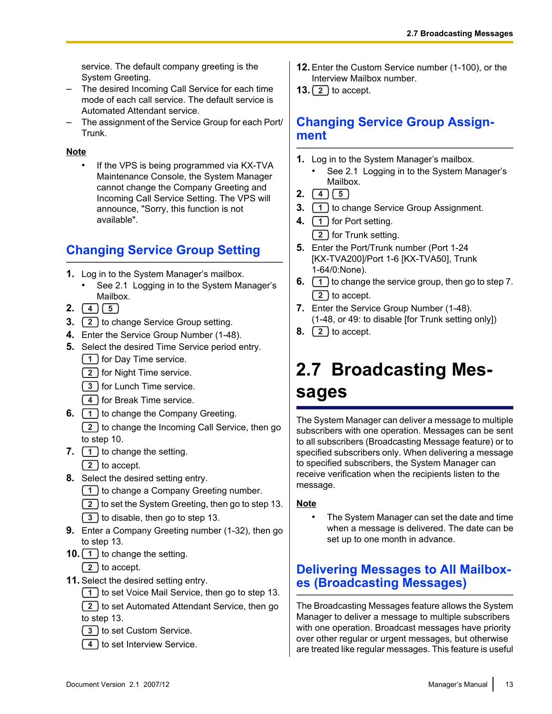<span id="page-12-0"></span>service. The default company greeting is the System Greeting.

- The desired Incoming Call Service for each time mode of each call service. The default service is Automated Attendant service.
- The assignment of the Service Group for each Port/ Trunk.

#### **Note**

If the VPS is being programmed via KX-TVA Maintenance Console, the System Manager cannot change the Company Greeting and Incoming Call Service Setting. The VPS will announce, "Sorry, this function is not available".

## **Changing Service Group Setting**

- **1.** Log in to the System Manager's mailbox.
	- See [2.1 Logging in to the System Manager's](#page-4-0) [Mailbox.](#page-4-0)
- **2.**  $(4)(5)$
- **3. 2** to change Service Group setting.
- **4.** Enter the Service Group Number (1-48).
- **5.** Select the desired Time Service period entry. *1* for Day Time service.
	- *2* for Night Time service.
	- *3* for Lunch Time service.
	- *4* for Break Time service.
- **6.**  $\boxed{1}$  to change the Company Greeting.

*2* to change the Incoming Call Service, then go to step 10.

- **7.**  $\boxed{1}$  to change the setting.
	- *2* to accept.
- **8.** Select the desired setting entry.
	- *1* to change a Company Greeting number.
	- *2* to set the System Greeting, then go to step 13.

*3* to disable, then go to step 13.

- **9.** Enter a Company Greeting number (1-32), then go to step 13.
- 10. 1 to change the setting.

*2* to accept.

- **11.** Select the desired setting entry.
	- *1* to set Voice Mail Service, then go to step 13.

**2** to set Automated Attendant Service, then go to step 13.

- *3* to set Custom Service.
- **4** to set Interview Service.
- **12.** Enter the Custom Service number (1-100), or the Interview Mailbox number.
- **13.**  $\boxed{2}$  to accept.

### **Changing Service Group Assignment**

- **1.** Log in to the System Manager's mailbox.
	- See [2.1 Logging in to the System Manager's](#page-4-0) [Mailbox](#page-4-0).
- **2.**  $\boxed{4}$  $\boxed{5}$
- **3. 1** to change Service Group Assignment.
- **4.** *1* for Port setting. *2* for Trunk setting.
- **5.** Enter the Port/Trunk number (Port 1-24 [KX-TVA200]/Port 1-6 [KX-TVA50], Trunk 1-64/0:None).
- **6. 1** to change the service group, then go to step 7. *2* to accept.
- **7.** Enter the Service Group Number (1-48). (1-48, or 49: to disable [for Trunk setting only])
- **8.**  $\boxed{2}$  to accept.

# **2.7 Broadcasting Messages**

The System Manager can deliver a message to multiple subscribers with one operation. Messages can be sent to all subscribers (Broadcasting Message feature) or to specified subscribers only. When delivering a message to specified subscribers, the System Manager can receive verification when the recipients listen to the message.

#### **Note**

• The System Manager can set the date and time when a message is delivered. The date can be set up to one month in advance.

### **Delivering Messages to All Mailboxes (Broadcasting Messages)**

The Broadcasting Messages feature allows the System Manager to deliver a message to multiple subscribers with one operation. Broadcast messages have priority over other regular or urgent messages, but otherwise are treated like regular messages. This feature is useful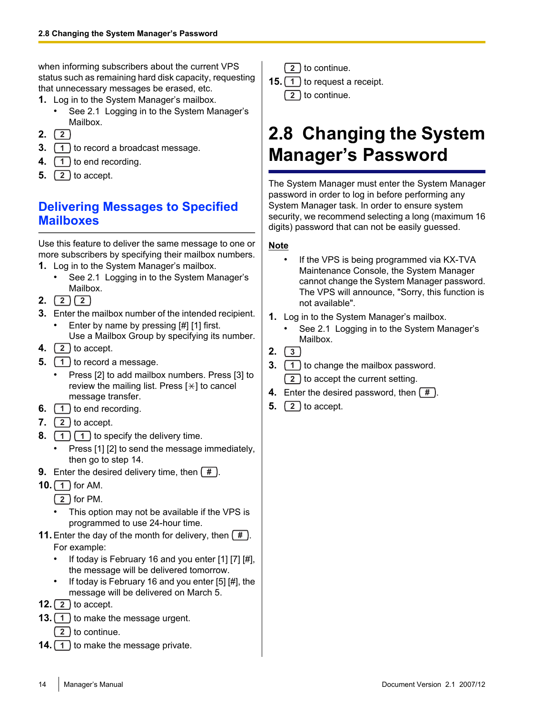<span id="page-13-0"></span>when informing subscribers about the current VPS status such as remaining hard disk capacity, requesting that unnecessary messages be erased, etc.

- **1.** Log in to the System Manager's mailbox.
	- See [2.1 Logging in to the System Manager's](#page-4-0) [Mailbox.](#page-4-0)
- **2.**  $(2)$
- **3. 1** to record a broadcast message.
- **4.**  $\boxed{1}$  to end recording.
- **5.**  $\boxed{2}$  to accept.

### **Delivering Messages to Specified Mailboxes**

Use this feature to deliver the same message to one or more subscribers by specifying their mailbox numbers.

- **1.** Log in to the System Manager's mailbox.
	- See [2.1 Logging in to the System Manager's](#page-4-0) [Mailbox.](#page-4-0)
- **2.**  $(2)(2)$
- **3.** Enter the mailbox number of the intended recipient.
	- Enter by name by pressing [#] [1] first. Use a Mailbox Group by specifying its number.
- **4.**  $\boxed{2}$  to accept.
- **5.**  $\boxed{1}$  to record a message.
	- Press [2] to add mailbox numbers. Press [3] to review the mailing list. Press  $[\times]$  to cancel message transfer.
- **6.**  $\boxed{1}$  to end recording.
- **7.**  $\boxed{2}$  to accept.
- **8.**  $\left(1\right)\left(1\right)$  to specify the delivery time.
	- Press [1] [2] to send the message immediately, then go to step 14.
- **9.** Enter the desired delivery time, then  $\left(\frac{H}{H}\right)$ .
- **10.**  $\boxed{1}$  for AM.
	- *2* for PM.
	- This option may not be available if the VPS is programmed to use 24-hour time.
- **11.** Enter the day of the month for delivery, then  $(\#)$ . For example:
	- If today is February 16 and you enter [1] [7] [#], the message will be delivered tomorrow.
	- If today is February 16 and you enter  $[5]$  [#], the message will be delivered on March 5.
- **12.**  $\boxed{2}$  to accept.
- **13. 1** to make the message urgent.
	- *2* to continue.
- **14.**  $\boxed{1}$  to make the message private.

*2* to continue.

**15.**  $\boxed{1}$  to request a receipt. *2* to continue.

# **2.8 Changing the System Manager's Password**

The System Manager must enter the System Manager password in order to log in before performing any System Manager task. In order to ensure system security, we recommend selecting a long (maximum 16 digits) password that can not be easily guessed.

#### **Note**

- If the VPS is being programmed via KX-TVA Maintenance Console, the System Manager cannot change the System Manager password. The VPS will announce, "Sorry, this function is not available".
- **1.** Log in to the System Manager's mailbox.
	- See [2.1 Logging in to the System Manager's](#page-4-0) [Mailbox](#page-4-0).
- **2.** *3*
- **3.**  $\boxed{1}$  to change the mailbox password.
	- **2** to accept the current setting.
- **4.** Enter the desired password, then  $(\#)$ .
- **5.**  $\boxed{2}$  to accept.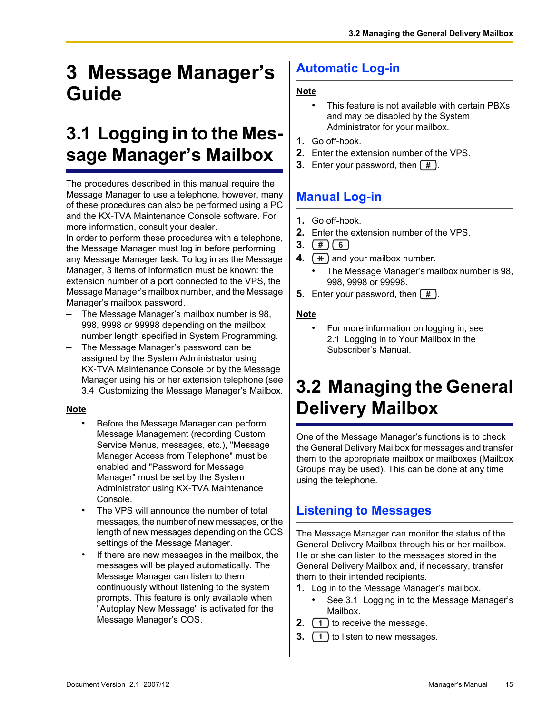# <span id="page-14-0"></span>**3 Message Manager's Guide**

# **3.1 Logging in to the Message Manager's Mailbox**

The procedures described in this manual require the Message Manager to use a telephone, however, many of these procedures can also be performed using a PC and the KX-TVA Maintenance Console software. For more information, consult your dealer.

In order to perform these procedures with a telephone, the Message Manager must log in before performing any Message Manager task. To log in as the Message Manager, 3 items of information must be known: the extension number of a port connected to the VPS, the Message Manager's mailbox number, and the Message Manager's mailbox password.

- The Message Manager's mailbox number is 98, 998, 9998 or 99998 depending on the mailbox number length specified in System Programming.
- The Message Manager's password can be assigned by the System Administrator using KX-TVA Maintenance Console or by the Message Manager using his or her extension telephone (see [3.4 Customizing the Message Manager's Mailbox](#page-16-0).

#### **Note**

- Before the Message Manager can perform Message Management (recording Custom Service Menus, messages, etc.), "Message Manager Access from Telephone" must be enabled and "Password for Message Manager" must be set by the System Administrator using KX-TVA Maintenance Console.
- The VPS will announce the number of total messages, the number of new messages, or the length of new messages depending on the COS settings of the Message Manager.
- If there are new messages in the mailbox, the messages will be played automatically. The Message Manager can listen to them continuously without listening to the system prompts. This feature is only available when "Autoplay New Message" is activated for the Message Manager's COS.

# **Automatic Log-in**

#### **Note**

- This feature is not available with certain PBXs and may be disabled by the System Administrator for your mailbox.
- **1.** Go off-hook.
- **2.** Enter the extension number of the VPS.
- **3.** Enter your password, then  $\left(\frac{H}{H}\right)$ .

## **Manual Log-in**

- **1.** Go off-hook.
- **2.** Enter the extension number of the VPS.
- **3.**  $(\#)(6)$
- **4.**  $(\star)$  and your mailbox number.
	- The Message Manager's mailbox number is 98, 998, 9998 or 99998.
- **5.** Enter your password, then  $(\#)$ .

#### **Note**

• For more information on logging in, see 2.1 Logging in to Your Mailbox in the Subscriber's Manual.

# **3.2 Managing the General Delivery Mailbox**

One of the Message Manager's functions is to check the General Delivery Mailbox for messages and transfer them to the appropriate mailbox or mailboxes (Mailbox Groups may be used). This can be done at any time using the telephone.

## **Listening to Messages**

The Message Manager can monitor the status of the General Delivery Mailbox through his or her mailbox. He or she can listen to the messages stored in the General Delivery Mailbox and, if necessary, transfer them to their intended recipients.

- **1.** Log in to the Message Manager's mailbox.
	- See 3.1 Logging in to the Message Manager's Mailbox.
- **2. 1** to receive the message.
- **3. 1** to listen to new messages.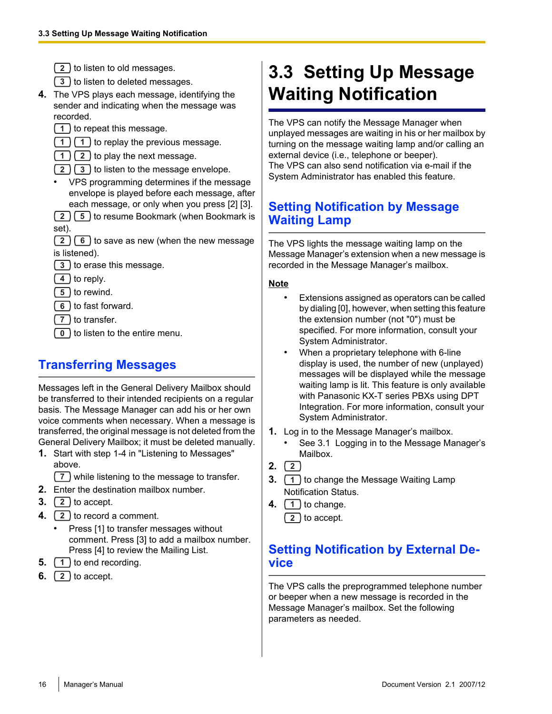<span id="page-15-0"></span>[2] to listen to old messages.

*3* to listen to deleted messages.

- **4.** The VPS plays each message, identifying the sender and indicating when the message was recorded.
	- *1* to repeat this message.
	- *1 1* to replay the previous message.
	- *1 2* to play the next message.
	- *2 3* to listen to the message envelope.
	- VPS programming determines if the message envelope is played before each message, after each message, or only when you press [2] [3].
	- *2 5* to resume Bookmark (when Bookmark is set).

**2 6** to save as new (when the new message is listened).

*3* to erase this message.

- $(4)$  to reply.
- *5* to rewind.
- **6** to fast forward.
- *7* to transfer.
- **0** to listen to the entire menu.

## **Transferring Messages**

Messages left in the General Delivery Mailbox should be transferred to their intended recipients on a regular basis. The Message Manager can add his or her own voice comments when necessary. When a message is transferred, the original message is not deleted from the General Delivery Mailbox; it must be deleted manually.

- **1.** Start with step 1-4 in ["Listening to Messages"](#page-14-0) above.
	- *7* while listening to the message to transfer.
- **2.** Enter the destination mailbox number.
- **3.**  $\boxed{2}$  to accept.
- **4.**  $\boxed{2}$  to record a comment.
	- Press [1] to transfer messages without comment. Press [3] to add a mailbox number. Press [4] to review the Mailing List.
- **5.**  $\boxed{1}$  to end recording.
- **6.**  $\boxed{2}$  to accept.

# **3.3 Setting Up Message Waiting Notification**

The VPS can notify the Message Manager when unplayed messages are waiting in his or her mailbox by turning on the message waiting lamp and/or calling an external device (i.e., telephone or beeper). The VPS can also send notification via e-mail if the System Administrator has enabled this feature.

### **Setting Notification by Message Waiting Lamp**

The VPS lights the message waiting lamp on the Message Manager's extension when a new message is recorded in the Message Manager's mailbox.

#### **Note**

- Extensions assigned as operators can be called by dialing [0], however, when setting this feature the extension number (not "0") must be specified. For more information, consult your System Administrator.
- When a proprietary telephone with 6-line display is used, the number of new (unplayed) messages will be displayed while the message waiting lamp is lit. This feature is only available with Panasonic KX-T series PBXs using DPT Integration. For more information, consult your System Administrator.
- **1.** Log in to the Message Manager's mailbox.
	- See [3.1 Logging in to the Message Manager's](#page-14-0) [Mailbox](#page-14-0).
- **2.**  $\boxed{2}$
- **3.** *1* to change the Message Waiting Lamp Notification Status.
- **4.**  $\boxed{1}$  to change.
	- *2* to accept.

### **Setting Notification by External Device**

The VPS calls the preprogrammed telephone number or beeper when a new message is recorded in the Message Manager's mailbox. Set the following parameters as needed.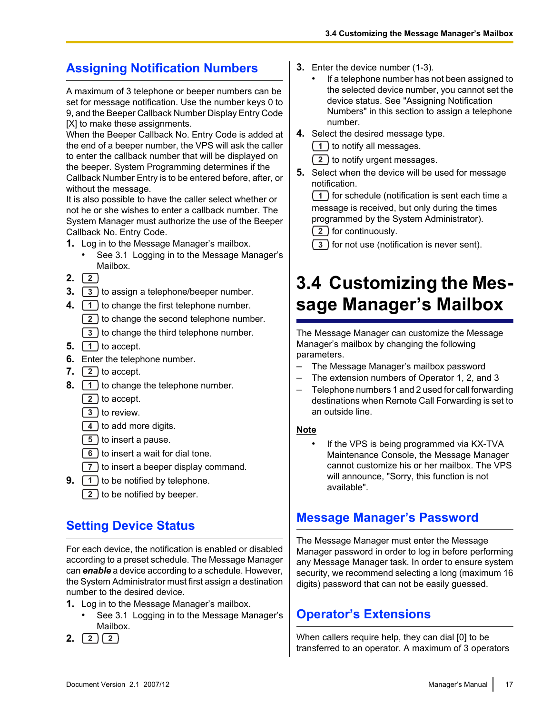## <span id="page-16-0"></span>**Assigning Notification Numbers**

A maximum of 3 telephone or beeper numbers can be set for message notification. Use the number keys 0 to 9, and the Beeper Callback Number Display Entry Code [X] to make these assignments.

When the Beeper Callback No. Entry Code is added at the end of a beeper number, the VPS will ask the caller to enter the callback number that will be displayed on the beeper. System Programming determines if the Callback Number Entry is to be entered before, after, or without the message.

It is also possible to have the caller select whether or not he or she wishes to enter a callback number. The System Manager must authorize the use of the Beeper Callback No. Entry Code.

- **1.** Log in to the Message Manager's mailbox.
	- See [3.1 Logging in to the Message Manager's](#page-14-0) [Mailbox.](#page-14-0)
- **2.**  $\boxed{2}$
- **3. 3** to assign a telephone/beeper number.
- **4.**  $\boxed{1}$  to change the first telephone number.
	- **2** to change the second telephone number.
	- *3* to change the third telephone number.
- **5.**  $\boxed{1}$  to accept.
- **6.** Enter the telephone number.
- **7.**  $\boxed{2}$  to accept.
- **8.** *1* to change the telephone number.
	- *2* to accept.
	- *3* to review.
	- **4** to add more digits.
	- *5* to insert a pause.
	- **6** to insert a wait for dial tone.
	- *7* to insert a beeper display command.
- **9. 1** to be notified by telephone.
	- 2) to be notified by beeper.

## **Setting Device Status**

For each device, the notification is enabled or disabled according to a preset schedule. The Message Manager can *enable* a device according to a schedule. However, the System Administrator must first assign a destination number to the desired device.

- **1.** Log in to the Message Manager's mailbox.
	- See [3.1 Logging in to the Message Manager's](#page-14-0) [Mailbox.](#page-14-0)
- **2.**  $\boxed{2}\boxed{2}$
- **3.** Enter the device number (1-3).
	- If a telephone number has not been assigned to the selected device number, you cannot set the device status. See "Assigning Notification Numbers" in this section to assign a telephone number.
- **4.** Select the desired message type.
	- *1* to notify all messages.

**2** to notify urgent messages.

**5.** Select when the device will be used for message notification.

*1* for schedule (notification is sent each time a message is received, but only during the times programmed by the System Administrator).

*2* for continuously.

*3* for not use (notification is never sent).

# **3.4 Customizing the Message Manager's Mailbox**

The Message Manager can customize the Message Manager's mailbox by changing the following parameters.

- The Message Manager's mailbox password
- The extension numbers of Operator 1, 2, and 3
- Telephone numbers 1 and 2 used for call forwarding destinations when Remote Call Forwarding is set to an outside line.

#### **Note**

If the VPS is being programmed via KX-TVA Maintenance Console, the Message Manager cannot customize his or her mailbox. The VPS will announce, "Sorry, this function is not available".

### **Message Manager's Password**

The Message Manager must enter the Message Manager password in order to log in before performing any Message Manager task. In order to ensure system security, we recommend selecting a long (maximum 16 digits) password that can not be easily guessed.

## **Operator's Extensions**

When callers require help, they can dial [0] to be transferred to an operator. A maximum of 3 operators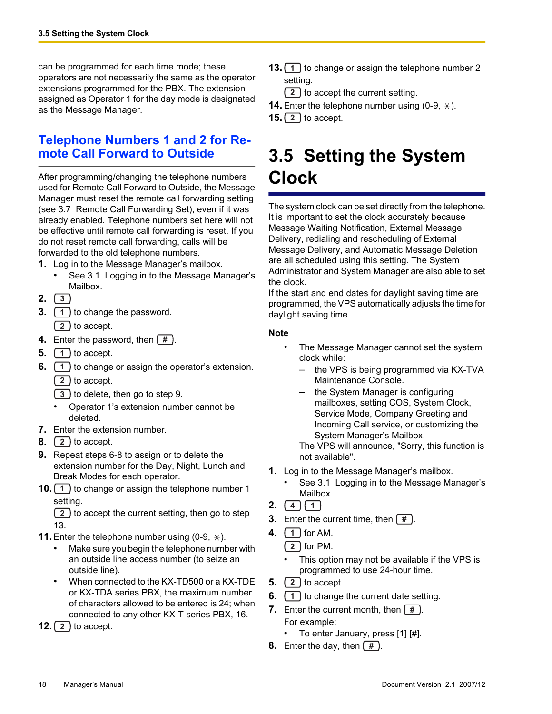<span id="page-17-0"></span>can be programmed for each time mode; these operators are not necessarily the same as the operator extensions programmed for the PBX. The extension assigned as Operator 1 for the day mode is designated as the Message Manager.

### **Telephone Numbers 1 and 2 for Remote Call Forward to Outside**

After programming/changing the telephone numbers used for Remote Call Forward to Outside, the Message Manager must reset the remote call forwarding setting (see [3.7 Remote Call Forwarding Set\)](#page-19-0), even if it was already enabled. Telephone numbers set here will not be effective until remote call forwarding is reset. If you do not reset remote call forwarding, calls will be forwarded to the old telephone numbers.

- **1.** Log in to the Message Manager's mailbox.
	- See [3.1 Logging in to the Message Manager's](#page-14-0) [Mailbox.](#page-14-0)
- **2.** *3*
- **3.** *1* to change the password. *2* to accept.
- **4.** Enter the password, then  $(\#)$ .
- **5.** *1* to accept.
- **6.**  $\boxed{1}$  to change or assign the operator's extension. *2* to accept.
	- *3* to delete, then go to step 9.
	- Operator 1's extension number cannot be deleted.
- **7.** Enter the extension number.
- **8.**  $\boxed{2}$  to accept.
- **9.** Repeat steps 6-8 to assign or to delete the extension number for the Day, Night, Lunch and Break Modes for each operator.
- **10.** *1* to change or assign the telephone number 1 setting.

**2** to accept the current setting, then go to step 13.

- **11.** Enter the telephone number using  $(0-9, \times)$ .
	- Make sure you begin the telephone number with an outside line access number (to seize an outside line).
	- When connected to the KX-TD500 or a KX-TDE or KX-TDA series PBX, the maximum number of characters allowed to be entered is 24; when connected to any other KX-T series PBX, 16.

**12.**  $\boxed{2}$  to accept.

**13. 1** to change or assign the telephone number 2 setting.

**2** to accept the current setting.

- **14.** Enter the telephone number using  $(0-9, \times)$ .
- **15.**  $\boxed{2}$  to accept.

# **3.5 Setting the System Clock**

The system clock can be set directly from the telephone. It is important to set the clock accurately because Message Waiting Notification, External Message Delivery, redialing and rescheduling of External Message Delivery, and Automatic Message Deletion are all scheduled using this setting. The System Administrator and System Manager are also able to set the clock.

If the start and end dates for daylight saving time are programmed, the VPS automatically adjusts the time for daylight saving time.

#### **Note**

- The Message Manager cannot set the system clock while:
	- the VPS is being programmed via KX-TVA Maintenance Console.
	- the System Manager is configuring mailboxes, setting COS, System Clock, Service Mode, Company Greeting and Incoming Call service, or customizing the System Manager's Mailbox.

The VPS will announce, "Sorry, this function is not available".

- **1.** Log in to the Message Manager's mailbox.
	- See [3.1 Logging in to the Message Manager's](#page-14-0) [Mailbox](#page-14-0).
- **2.**  $(4)(1)$
- **3.** Enter the current time, then  $\left(\frac{\mu}{\mu}\right)$ .
- **4.** *1* for AM.

*2* for PM.

- This option may not be available if the VPS is programmed to use 24-hour time.
- **5.**  $\boxed{2}$  to accept.
- **6.**  $\boxed{1}$  to change the current date setting.
- **7.** Enter the current month, then  $\left(\frac{\textbf{\#}}{\textbf{\#}}\right)$ . For example:
	- To enter January, press [1] [#].
- **8.** Enter the day, then  $\left(\frac{H}{H}\right)$ .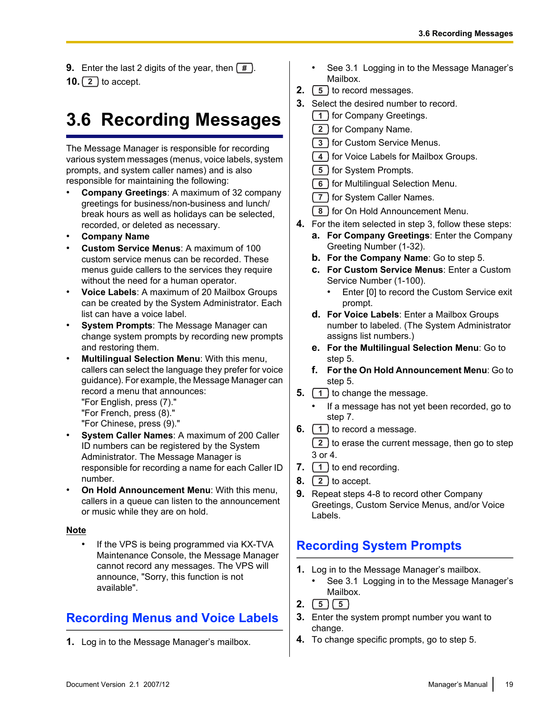- <span id="page-18-0"></span>**9.** Enter the last 2 digits of the year, then  $\left(\frac{\#}{\#}\right)$ .
- **10.**  $\boxed{2}$  to accept.

# **3.6 Recording Messages**

The Message Manager is responsible for recording various system messages (menus, voice labels, system prompts, and system caller names) and is also responsible for maintaining the following:

- **Company Greetings**: A maximum of 32 company greetings for business/non-business and lunch/ break hours as well as holidays can be selected, recorded, or deleted as necessary.
- **Company Name**
- **Custom Service Menus**: A maximum of 100 custom service menus can be recorded. These menus guide callers to the services they require without the need for a human operator.
- **Voice Labels**: A maximum of 20 Mailbox Groups can be created by the System Administrator. Each list can have a voice label.
- **System Prompts**: The Message Manager can change system prompts by recording new prompts and restoring them.
- **Multilingual Selection Menu**: With this menu, callers can select the language they prefer for voice guidance). For example, the Message Manager can record a menu that announces:

"For English, press (7)." "For French, press (8)."

- "For Chinese, press (9)."
- **System Caller Names**: A maximum of 200 Caller ID numbers can be registered by the System Administrator. The Message Manager is responsible for recording a name for each Caller ID number.
- **On Hold Announcement Menu**: With this menu, callers in a queue can listen to the announcement or music while they are on hold.

#### **Note**

If the VPS is being programmed via KX-TVA Maintenance Console, the Message Manager cannot record any messages. The VPS will announce, "Sorry, this function is not available".

## **Recording Menus and Voice Labels**

**1.** Log in to the Message Manager's mailbox.

- See [3.1 Logging in to the Message Manager's](#page-14-0) [Mailbox](#page-14-0).
- **2.**  $\boxed{5}$  to record messages.
- **3.** Select the desired number to record.
	- *1* for Company Greetings.
	- *2* for Company Name.
	- *3* for Custom Service Menus.
	- *4* for Voice Labels for Mailbox Groups.
	- *5* for System Prompts.
	- **6** for Multilingual Selection Menu.
	- *7* for System Caller Names.
	- **8** for On Hold Announcement Menu.
- **4.** For the item selected in step 3, follow these steps:
	- **a. For Company Greetings**: Enter the Company Greeting Number (1-32).
	- **b. For the Company Name**: Go to step 5.
	- **c. For Custom Service Menus**: Enter a Custom Service Number (1-100).
		- Enter [0] to record the Custom Service exit prompt.
	- **d. For Voice Labels**: Enter a Mailbox Groups number to labeled. (The System Administrator assigns list numbers.)
	- **e. For the Multilingual Selection Menu**: Go to step 5.
	- **f. For the On Hold Announcement Menu**: Go to step 5.
- **5.**  $\boxed{1}$  to change the message.
	- If a message has not yet been recorded, go to step 7.
- **6.**  $\boxed{1}$  to record a message.

**2** to erase the current message, then go to step 3 or 4.

- **7.**  $\boxed{1}$  to end recording.
- **8.**  $\boxed{2}$  to accept.
- **9.** Repeat steps 4-8 to record other Company Greetings, Custom Service Menus, and/or Voice Labels.

## **Recording System Prompts**

- **1.** Log in to the Message Manager's mailbox.
	- See [3.1 Logging in to the Message Manager's](#page-14-0) [Mailbox](#page-14-0).
- **2.**  $(5)(5)$
- **3.** Enter the system prompt number you want to change.
- **4.** To change specific prompts, go to step 5.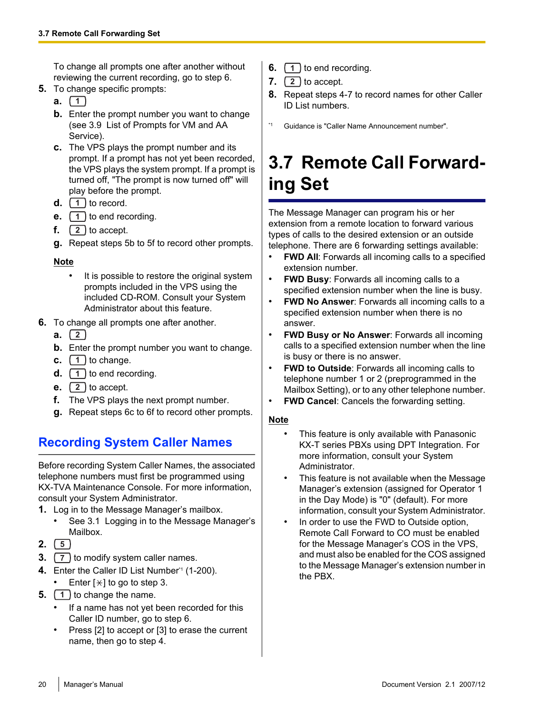<span id="page-19-0"></span>To change all prompts one after another without reviewing the current recording, go to step 6.

- **5.** To change specific prompts:
	- **a.** *1*
	- **b.** Enter the prompt number you want to change (see [3.9 List of Prompts for VM and AA](#page-21-0) [Service\)](#page-21-0).
	- **c.** The VPS plays the prompt number and its prompt. If a prompt has not yet been recorded, the VPS plays the system prompt. If a prompt is turned off, "The prompt is now turned off" will play before the prompt.
	- **d.**  $\boxed{1}$  to record.
	- **e.**  $\boxed{1}$  to end recording.
	- **f.**  $\boxed{2}$  to accept.
	- **g.** Repeat steps 5b to 5f to record other prompts.

#### **Note**

- It is possible to restore the original system prompts included in the VPS using the included CD-ROM. Consult your System Administrator about this feature.
- **6.** To change all prompts one after another.
	- **a.**  $(2)$
	- **b.** Enter the prompt number you want to change.
	- **c.**  $\begin{pmatrix} 1 \end{pmatrix}$  to change.
	- **d.** *1* to end recording.
	- **e.**  $\boxed{2}$  to accept.
	- **f.** The VPS plays the next prompt number.
	- **g.** Repeat steps 6c to 6f to record other prompts.

## **Recording System Caller Names**

Before recording System Caller Names, the associated telephone numbers must first be programmed using KX-TVA Maintenance Console. For more information, consult your System Administrator.

- **1.** Log in to the Message Manager's mailbox.
	- See [3.1 Logging in to the Message Manager's](#page-14-0) [Mailbox.](#page-14-0)
- **2.** *5*
- **3.**  $\boxed{7}$  to modify system caller names.
- 4. Enter the Caller ID List Number<sup>\*1</sup> (1-200).
	- Enter  $[\star]$  to go to step 3.
- **5.** *1* to change the name.
	- If a name has not yet been recorded for this Caller ID number, go to step 6.
	- Press [2] to accept or [3] to erase the current name, then go to step 4.
- **6.**  $\boxed{1}$  to end recording.
- 7.  $\boxed{2}$  to accept.
- **8.** Repeat steps 4-7 to record names for other Caller ID List numbers.
- \*1 Guidance is "Caller Name Announcement number".

# **3.7 Remote Call Forwarding Set**

The Message Manager can program his or her extension from a remote location to forward various types of calls to the desired extension or an outside telephone. There are 6 forwarding settings available:

- **FWD AII:** Forwards all incoming calls to a specified extension number.
- **FWD Busy**: Forwards all incoming calls to a specified extension number when the line is busy.
- **FWD No Answer**: Forwards all incoming calls to a specified extension number when there is no answer.
- **FWD Busy or No Answer**: Forwards all incoming calls to a specified extension number when the line is busy or there is no answer.
- **FWD to Outside**: Forwards all incoming calls to telephone number 1 or 2 (preprogrammed in the Mailbox Setting), or to any other telephone number.
- **FWD Cancel: Cancels the forwarding setting.**

#### **Note**

- This feature is only available with Panasonic KX-T series PBXs using DPT Integration. For more information, consult your System Administrator.
- This feature is not available when the Message Manager's extension (assigned for Operator 1 in the Day Mode) is "0" (default). For more information, consult your System Administrator.
- In order to use the FWD to Outside option. Remote Call Forward to CO must be enabled for the Message Manager's COS in the VPS, and must also be enabled for the COS assigned to the Message Manager's extension number in the PBX.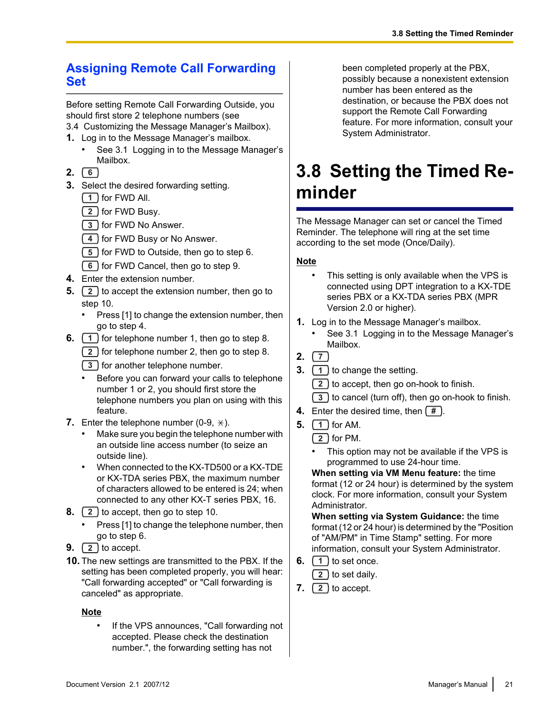### <span id="page-20-0"></span>**Assigning Remote Call Forwarding Set**

Before setting Remote Call Forwarding Outside, you should first store 2 telephone numbers (see

[3.4 Customizing the Message Manager's Mailbox\)](#page-16-0).

- **1.** Log in to the Message Manager's mailbox.
	- See [3.1 Logging in to the Message Manager's](#page-14-0) [Mailbox.](#page-14-0)
- **2.** *6*
- **3.** Select the desired forwarding setting.
	- *1* for FWD All.
	- *2* for FWD Busy.
	- *3* for FWD No Answer.
	- *4* for FWD Busy or No Answer.
	- **5** for FWD to Outside, then go to step 6.
	- *6* for FWD Cancel, then go to step 9.
- **4.** Enter the extension number.
- **5. 2** to accept the extension number, then go to step 10.
	- Press [1] to change the extension number, then go to step 4.
- **6.** *1* for telephone number 1, then go to step 8.

*2* for telephone number 2, then go to step 8.

*3* for another telephone number.

- Before you can forward your calls to telephone number 1 or 2, you should first store the telephone numbers you plan on using with this feature.
- **7.** Enter the telephone number  $(0-9, \times)$ .
	- Make sure you begin the telephone number with an outside line access number (to seize an outside line).
	- When connected to the KX-TD500 or a KX-TDE or KX-TDA series PBX, the maximum number of characters allowed to be entered is 24; when connected to any other KX-T series PBX, 16.
- **8. 2** to accept, then go to step 10.
	- Press [1] to change the telephone number, then go to step 6.
- **9.**  $\boxed{2}$  to accept.
- **10.** The new settings are transmitted to the PBX. If the setting has been completed properly, you will hear: "Call forwarding accepted" or "Call forwarding is canceled" as appropriate.

#### **Note**

• If the VPS announces, "Call forwarding not accepted. Please check the destination number.", the forwarding setting has not

been completed properly at the PBX, possibly because a nonexistent extension number has been entered as the destination, or because the PBX does not support the Remote Call Forwarding feature. For more information, consult your System Administrator.

# **3.8 Setting the Timed Reminder**

The Message Manager can set or cancel the Timed Reminder. The telephone will ring at the set time according to the set mode (Once/Daily).

#### **Note**

- This setting is only available when the VPS is connected using DPT integration to a KX-TDE series PBX or a KX-TDA series PBX (MPR Version 2.0 or higher).
- **1.** Log in to the Message Manager's mailbox.
	- See [3.1 Logging in to the Message Manager's](#page-14-0) [Mailbox](#page-14-0).
- **2.** *7*
- **3.**  $\boxed{1}$  to change the setting.
	- **2** to accept, then go on-hook to finish.
	- *3* to cancel (turn off), then go on-hook to finish.
- **4.** Enter the desired time, then  $\left(\frac{\#}{\#}\right)$ .
- **5.** *1* for AM.
	- *2* for PM.
	- This option may not be available if the VPS is programmed to use 24-hour time.

**When setting via VM Menu feature:** the time format (12 or 24 hour) is determined by the system clock. For more information, consult your System Administrator.

**When setting via System Guidance:** the time format (12 or 24 hour) is determined by the "Position of "AM/PM" in Time Stamp" setting. For more information, consult your System Administrator.

- **6.**  $\boxed{1}$  to set once.
	- **2** to set daily.
- **7.**  $\boxed{2}$  to accept.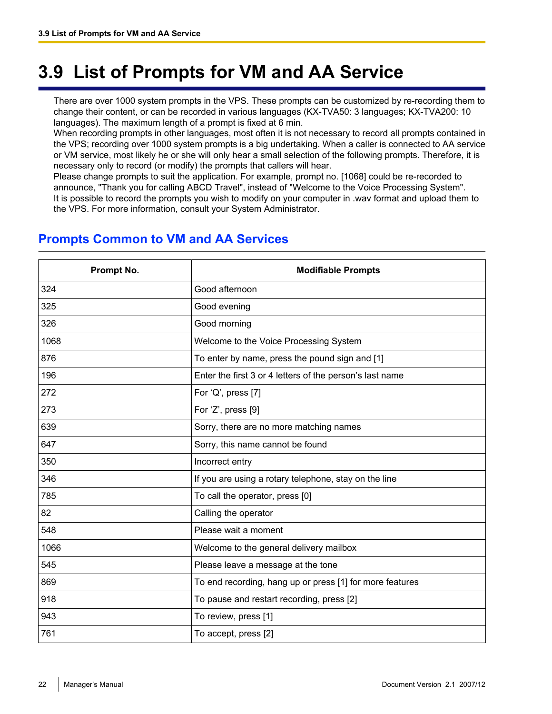# <span id="page-21-0"></span>**3.9 List of Prompts for VM and AA Service**

There are over 1000 system prompts in the VPS. These prompts can be customized by re-recording them to change their content, or can be recorded in various languages (KX-TVA50: 3 languages; KX-TVA200: 10 languages). The maximum length of a prompt is fixed at 6 min.

When recording prompts in other languages, most often it is not necessary to record all prompts contained in the VPS; recording over 1000 system prompts is a big undertaking. When a caller is connected to AA service or VM service, most likely he or she will only hear a small selection of the following prompts. Therefore, it is necessary only to record (or modify) the prompts that callers will hear.

Please change prompts to suit the application. For example, prompt no. [1068] could be re-recorded to announce, "Thank you for calling ABCD Travel", instead of "Welcome to the Voice Processing System". It is possible to record the prompts you wish to modify on your computer in .wav format and upload them to the VPS. For more information, consult your System Administrator.

| Prompt No. | <b>Modifiable Prompts</b>                                |
|------------|----------------------------------------------------------|
| 324        | Good afternoon                                           |
| 325        | Good evening                                             |
| 326        | Good morning                                             |
| 1068       | Welcome to the Voice Processing System                   |
| 876        | To enter by name, press the pound sign and [1]           |
| 196        | Enter the first 3 or 4 letters of the person's last name |
| 272        | For 'Q', press [7]                                       |
| 273        | For 'Z', press [9]                                       |
| 639        | Sorry, there are no more matching names                  |
| 647        | Sorry, this name cannot be found                         |
| 350        | Incorrect entry                                          |
| 346        | If you are using a rotary telephone, stay on the line    |
| 785        | To call the operator, press [0]                          |
| 82         | Calling the operator                                     |
| 548        | Please wait a moment                                     |
| 1066       | Welcome to the general delivery mailbox                  |
| 545        | Please leave a message at the tone                       |
| 869        | To end recording, hang up or press [1] for more features |
| 918        | To pause and restart recording, press [2]                |
| 943        | To review, press [1]                                     |
| 761        | To accept, press [2]                                     |

### **Prompts Common to VM and AA Services**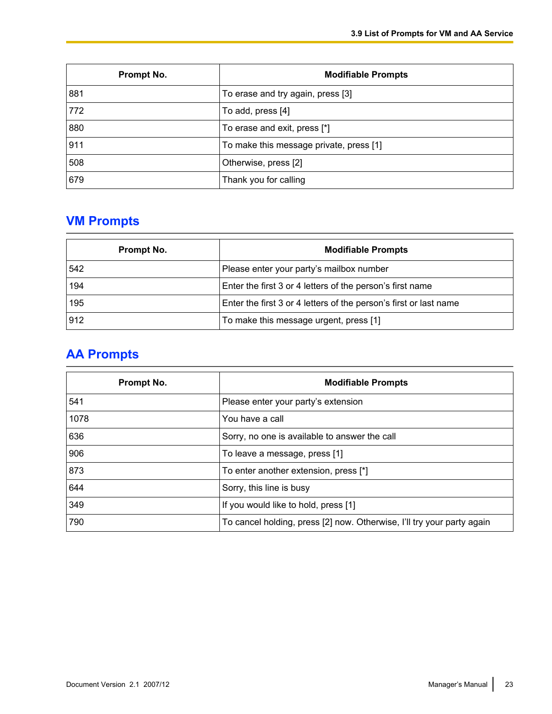| Prompt No. | <b>Modifiable Prompts</b>               |
|------------|-----------------------------------------|
| 881        | To erase and try again, press [3]       |
| 772        | To add, press [4]                       |
| 880        | To erase and exit, press [*]            |
| 911        | To make this message private, press [1] |
| 508        | Otherwise, press [2]                    |
| 679        | Thank you for calling                   |

## **VM Prompts**

| Prompt No. | <b>Modifiable Prompts</b>                                         |
|------------|-------------------------------------------------------------------|
| 542        | Please enter your party's mailbox number                          |
| 194        | Enter the first 3 or 4 letters of the person's first name         |
| 195        | Enter the first 3 or 4 letters of the person's first or last name |
| 912        | To make this message urgent, press [1]                            |

## **AA Prompts**

| Prompt No. | <b>Modifiable Prompts</b>                                              |
|------------|------------------------------------------------------------------------|
| 541        | Please enter your party's extension                                    |
| 1078       | You have a call                                                        |
| 636        | Sorry, no one is available to answer the call                          |
| 906        | To leave a message, press [1]                                          |
| 873        | To enter another extension, press [*]                                  |
| 644        | Sorry, this line is busy                                               |
| 349        | If you would like to hold, press [1]                                   |
| 790        | To cancel holding, press [2] now. Otherwise, I'll try your party again |